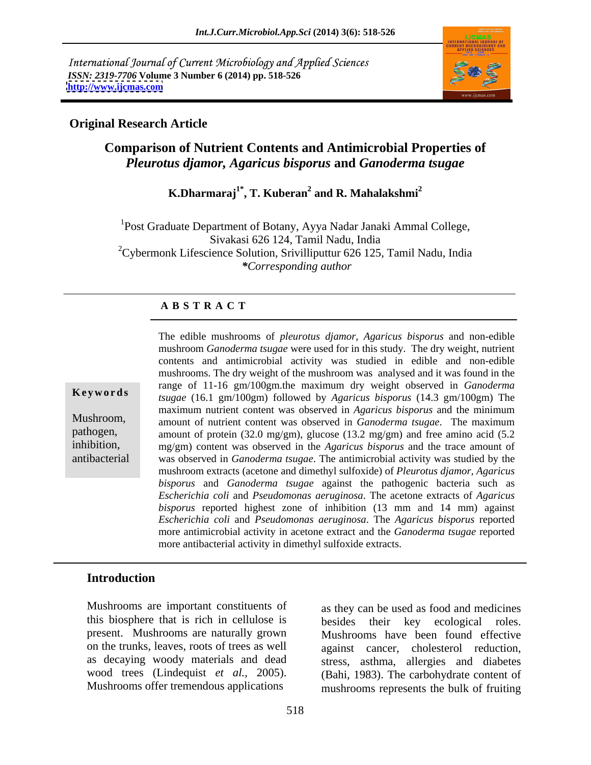International Journal of Current Microbiology and Applied Sciences *ISSN: 2319-7706* **Volume 3 Number 6 (2014) pp. 518-526 <http://www.ijcmas.com>**



### **Original Research Article**

# **Comparison of Nutrient Contents and Antimicrobial Properties of**  *Pleurotus djamor, Agaricus bisporus* **and** *Ganoderma tsugae*

### **K.Dharmaraj1\* , T. Kuberan<sup>2</sup> and R. Mahalakshmi<sup>2</sup>**

<sup>1</sup>Post Graduate Department of Botany, Ayya Nadar Janaki Ammal College, Sivakasi 626 124, Tamil Nadu, India  $2^2$ Cybermonk Lifescience Solution, Srivilliputtur 626 125, Tamil Nadu, India *\*Corresponding author* 

### **A B S T R A C T**

**Ke ywo rds** *tsugae* (16.1 gm/100gm) followed by *Agaricus bisporus* (14.3 gm/100gm) The Mushroom, amount of nutrient content was observed in *Ganoderma tsugae*. The maximum pathogen, amount of protein (32.0 mg/gm), glucose (13.2 mg/gm) and free amino acid (5.2 inhibition, mg/gm) content was observed in the *Agaricus bisporus* and the trace amount of antibacterial was observed in *Ganoderma tsugae*. The antimicrobial activity was studied by the The edible mushrooms of *pleurotus djamor*, *Agaricus bisporus* and non-edible mushroom *Ganoderma tsugae* were used for in this study. The dry weight, nutrient contents and antimicrobial activity was studied in edible and non-edible mushrooms. The dry weight of the mushroom was analysed and it was found in the range of 11-16 gm/100gm.the maximum dry weight observed in *Ganoderma*  maximum nutrient content was observed in *Agaricus bisporus* and the minimum mushroom extracts (acetone and dimethyl sulfoxide) of *Pleurotus djamor, Agaricus bisporus* and *Ganoderma tsugae* against the pathogenic bacteria such as *Escherichia coli* and *Pseudomonas aeruginosa*. The acetone extracts of *Agaricus bisporus* reported highest zone of inhibition (13 mm and 14 mm) against *Escherichia coli* and *Pseudomonas aeruginosa*. The *Agaricus bisporus* reported more antimicrobial activity in acetone extract and the *Ganoderma tsugae* reported more antibacterial activity in dimethyl sulfoxide extracts.

# **Introduction**

Mushrooms are important constituents of as they can be used as food and medicines this biosphere that is rich in cellulose is present. Mushrooms are naturally grown on the trunks, leaves, roots of trees as well as decaying woody materials and dead

wood trees (Lindequist *et al.,* 2005). (Bahi, 1983). The carbohydrate content of Mushrooms offer tremendous applications mushrooms represents the bulk of fruiting their key ecological roles. Mushrooms have been found effective against cancer, cholesterol reduction, stress, asthma, allergies and diabetes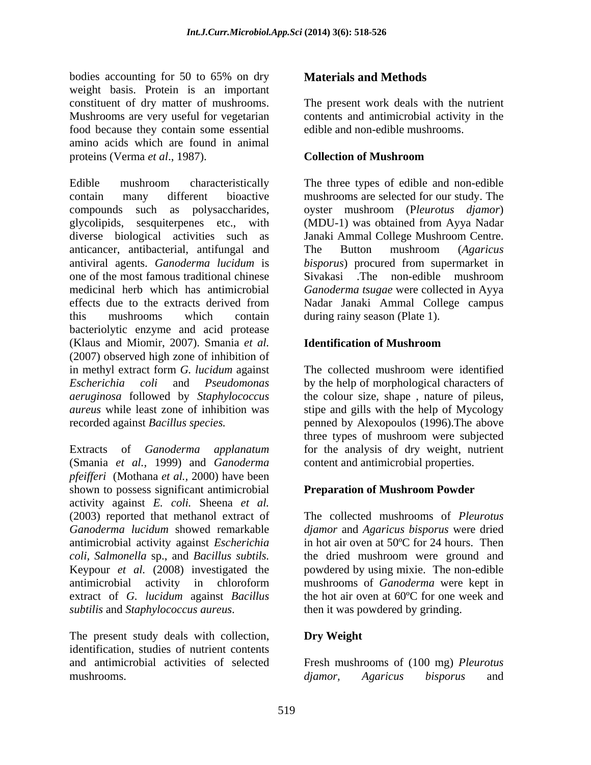bodies accounting for 50 to 65% on dry **Materials and Methods** weight basis. Protein is an important constituent of dry matter of mushrooms. The present work deals with the nutrient Mushrooms are very useful for vegetarian contents and antimicrobial activity in the food because they contain some essential amino acids which are found in animal proteins (Verma *et al.*, 1987). **Collection of Mushroom** 

Edible mushroom characteristically The three types of edible and non-edible contain many different bioactive mushrooms are selected for our study. The compounds such as polysaccharides, oyster mushroom (P*leurotus djamor*) glycolipids, sesquiterpenes etc., with (MDU-1) was obtained from Ayya Nadar diverse biological activities such as Janaki Ammal College Mushroom Centre. anticancer, antibacterial, antifungal and The Button mushroom (Agaricus antiviral agents. *Ganoderma lucidum* is *bisporus*) procured from supermarket in one of the most famous traditional chinese Sivakasi .The non-edible mushroom medicinal herb which has antimicrobial *Ganoderma tsugae* were collected in Ayya effects due to the extracts derived from Nadar Janaki Ammal College campus this mushrooms which contain during rainy season (Plate 1). bacteriolytic enzyme and acid protease (Klaus and Miomir, 2007). Smania *et al.* (2007) observed high zone of inhibition of in methyl extract form *G. lucidum* against *Escherichia coli* and *Pseudomonas*  by the help of morphological characters of *aeruginosa* followed by *Staphylococcus*  the colour size, shape , nature of pileus, *aureus* while least zone of inhibition was stipe and gills with the help of Mycology recorded against *Bacillus species.*  penned by Alexopoulos (1996).The above bodies accounting for 52 to 62% on dry materials and Methods<br>bodies accounting for 52 to 62% on dry methods and the control of the present work data with sometimes of dry mater of materooms. The present work data with the

Extracts of *Ganoderma applanatum* for the analysis of dry weight, nutrient (Smania *et al.,* 1999) and *Ganoderma pfeifferi* (Mothana *et al.,* 2000) have been shown to possess significant antimicrobial activity against *E. coli.* Sheena *et al.* (2003) reported that methanol extract of The collected mushrooms of *Pleurotus Ganoderma lucidum* showed remarkable *djamor* and *Agaricus bisporus* were dried antimicrobial activity against *Escherichia*  in hot air oven at 50ºC for 24 hours. Then *coli, Salmonella* sp., and *Bacillus subtils.* Keypour *et al.* (2008) investigated the powdered by using mixie. The non-edible antimicrobial activity in chloroform mushrooms of Ganoderma were kept in extract of *G. lucidum* against *Bacillus*  the hot air oven at 60ºC for one week and *subtilis* and *Staphylococcus aureus*.

The present study deals with collection, **Dry Weight** identification, studies of nutrient contents

edible and non-edible mushrooms.

# **Collection of Mushroom**

Janaki Ammal College Mushroom Centre. The Button mushroom (*Agaricus*

# **Identification of Mushroom**

The collected mushroom were identified three types of mushroom were subjected content and antimicrobial properties.

# **Preparation of Mushroom Powder**

the dried mushroom were ground and mushrooms of *Ganoderma* were kept in then it was powdered by grinding.

# **Dry Weight**

and antimicrobial activities of selected Fresh mushrooms of (100 mg) *Pleurotus djamor, Agaricus bisporus* and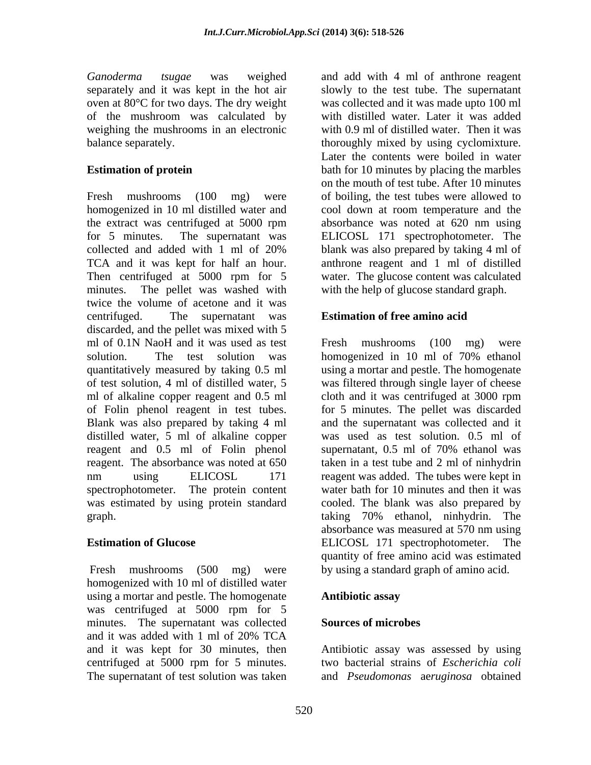Ganoderma tsugae was weighed and add with 4 ml of anthrone reagent oven at 80°C for two days. The dry weight of the mushroom was calculated by weighing the mushrooms in an electronic

Fresh mushrooms (100 mg) were of boiling, the test tubes were allowed to homogenized in 10 ml distilled water and cool down at room temperature and the the extract was centrifuged at 5000 rpm for 5 minutes. The supernatant was ELICOSL 171 spectrophotometer. The collected and added with 1 ml of 20% TCA and it was kept for half an hour. anthrone reagent and 1 ml of distilled Then centrifuged at 5000 rpm for 5 water. The glucose content was calculated minutes. The pellet was washed with with the help of glucose standard graph. twice the volume of acetone and it was centrifuged. The supernatant was **Estimation of free amino acid**  discarded, and the pellet was mixed with 5 ml of 0.1N NaoH and it was used as test Fresh mushrooms (100 mg) were solution. The test solution was bomogenized in 10 ml of 70% ethanol quantitatively measured by taking 0.5 ml using a mortar and pestle. The homogenate of test solution, 4 ml of distilled water, 5 was filtered through single layer of cheese ml of alkaline copper reagent and 0.5 ml cloth and it was centrifuged at 3000 rpm of Folin phenol reagent in test tubes. Blank was also prepared by taking 4 ml and the supernatant was collected and it distilled water, 5 ml of alkaline copper was used as test solution. 0.5 ml of reagent and 0.5 ml of Folin phenol supernatant, 0.5 ml of 70% ethanol was reagent. The absorbance was noted at 650 taken in a test tube and 2 ml of ninhydrin nm using ELICOSL 171 reagent was added. The tubes were kept in spectrophotometer. The protein content was estimated by using protein standard graph. taking 70% ethanol, ninhydrin. The

Fresh mushrooms (500 mg) were homogenized with 10 ml of distilled water using a mortar and pestle. The homogenate was centrifuged at 5000 rpm for 5 minutes. The supernatant was collected **Sources of microbes** and it was added with 1 ml of 20% TCA and it was kept for 30 minutes, then Antibiotic assay was assessed by using centrifuged at 5000 rpm for 5 minutes. two bacterial strains of *Escherichia coli* The supernatant of test solution was taken

separately and it was kept in the hot air slowly to the test tube. The supernatant balance separately. thoroughly mixed by using cyclomixture. **Estimation of protein bath for 10 minutes by placing the marbles** was collected and it was made upto 100 ml with distilled water. Later it was added with 0.9 ml of distilled water. Then it was Later the contents were boiled in water on the mouth of test tube. After 10 minutes absorbance was noted at 620 nm using blank was also prepared by taking 4 ml of

**Estimation of Glucose**  ELICOSL 171 spectrophotometer. The Fresh mushrooms (100 mg) were homogenized in 10 ml of 70% ethanol cloth and it was centrifuged at 3000 rpm for 5 minutes. The pellet was discarded supernatant, 0.5 ml of 70% ethanol was water bath for 10 minutes and then it was cooled. The blank was also prepared by absorbance was measured at 570 nm using quantity of free amino acid was estimated by using a standard graph of amino acid.

### **Antibiotic assay**

### **Sources of microbes**

and *Pseudomonas* ae*ruginosa* obtained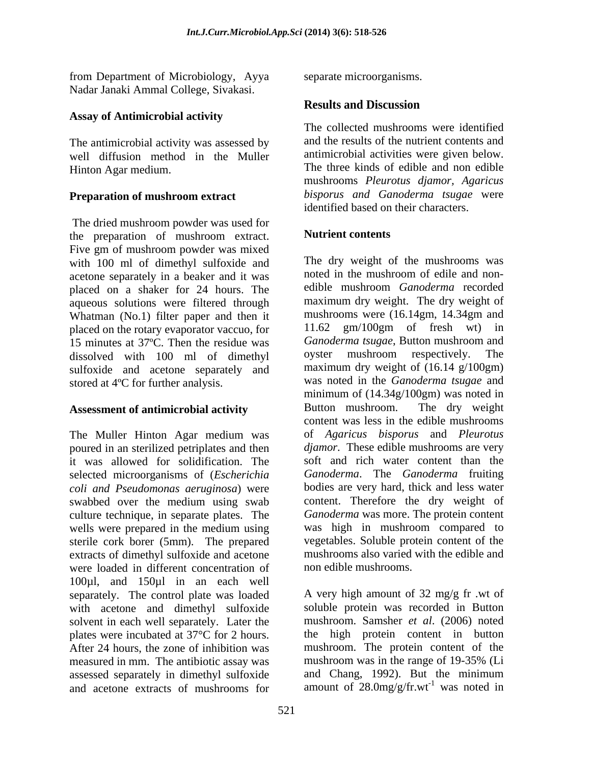from Department of Microbiology, Ayya Nadar Janaki Ammal College, Sivakasi.

# **Assay of Antimicrobial activity**

The antimicrobial activity was assessed by well diffusion method in the Muller

## **Preparation of mushroom extract**

The dried mushroom powder was used for<br>the preparation of mushroom extract **Nutrient contents** the preparation of mushroom extract. Nutrient contents Five gm of mushroom powder was mixed with 100 ml of dimethyl sulfoxide and<br>acetone separately in a beaker and it was noted in the mushroom of edile and nonacetone separately in a beaker and it was noted in the mushroom of edile and non-<br>placed on a shaker for 24 hours. The edible mushroom *Ganoderma* recorded placed on a shaker for 24 hours. The aqueous solutions were filtered through Whatman (No.1) filter paper and then it<br>mushrooms were  $(16.14gm, 14.34gm, and nlaced on the rotary evaporator vaccine for  $11.62 \text{ gm}/100gm$  of fresh wt) in$ placed on the rotary evaporator vaccuo, for  $\frac{11.62 \text{ gm}/100 \text{ gm}}{15 \text{ minutes at } 37\degree\text{C}}$ . Then the residue was *Ganoderma tsugae*, Button mushroom and 15 minutes at 37°C. Then the residue was *Ganoderma tsugae*, Button mushroom and dissolved with 100 ml of dimethyl ovster mushroom respectively. The dissolved with 100 ml of dimethyl sulfoxide and acetone separately and

The Muller Hinton Agar medium was poured in an sterilized petriplates and then it was allowed for solidification. The selected microorganisms of (*Escherichia coli and Pseudomonas aeruginosa*) were swabbed over the medium using swab content. Therefore the dry weight of culture technique, in separate plates. The wells were prepared in the medium using sterile cork borer (5mm). The prepared extracts of dimethyl sulfoxide and acetone were loaded in different concentration of 100µl, and 150µl in an each well separately. The control plate was loaded with acetone and dimethyl sulfoxide solvent in each well separately. Later the plates were incubated at 37°C for 2 hours. After 24 hours, the zone of inhibition was mushroom. The protein content of the measured in mm. The antibiotic assay was mushroom was in the range of 19-35% (Li assessed separately in dimethyl sulfoxide and acetone extracts of mushrooms for amount of  $28.0$ mg/g/fr.wt<sup>-1</sup> was noted in

separate microorganisms.

# **Results and Discussion**

Hinton Agar medium. The three kinds of edible and non edible The collected mushrooms were identified and the results of the nutrient contents and antimicrobial activities were given below. mushrooms *Pleurotus djamor, Agaricus bisporus and Ganoderma tsugae* were identified based on their characters.

## **Nutrient contents**

stored at 4ºC for further analysis. was noted in the *Ganoderma tsugae* and **Assessment of antimicrobial activity** Button mushroom. The dry weight The dry weight of the mushrooms was noted in the mushroom of edile and non edible mushroom *Ganoderma* recorded maximum dry weight. The dry weight of mushrooms were (16.14gm, 14.34gm and 11.62 gm/100gm of fresh wt) in *Ganoderma tsugae*, Button mushroom and oyster mushroom respectively. The maximum dry weight of  $(16.14 \text{ g}/100 \text{gm})$ minimum of (14.34g/100gm) was noted in Button mushroom. The dry weight content was less in the edible mushrooms of *Agaricus bisporus* and *Pleurotus djamor*. These edible mushrooms are very soft and rich water content than the *Ganoderma*. The *Ganoderma* fruiting bodies are very hard, thick and less water content. Therefore the dry weight of *Ganoderma* was more. The protein content was high in mushroom compared to vegetables. Soluble protein content of the mushrooms also varied with the edible and non edible mushrooms.

> A very high amount of 32 mg/g fr .wt of soluble protein was recorded in Button mushroom. Samsher *et al*. (2006) noted the high protein content in button mushroom was in the range of 19-35% (Li and Chang, 1992). But the minimum was noted in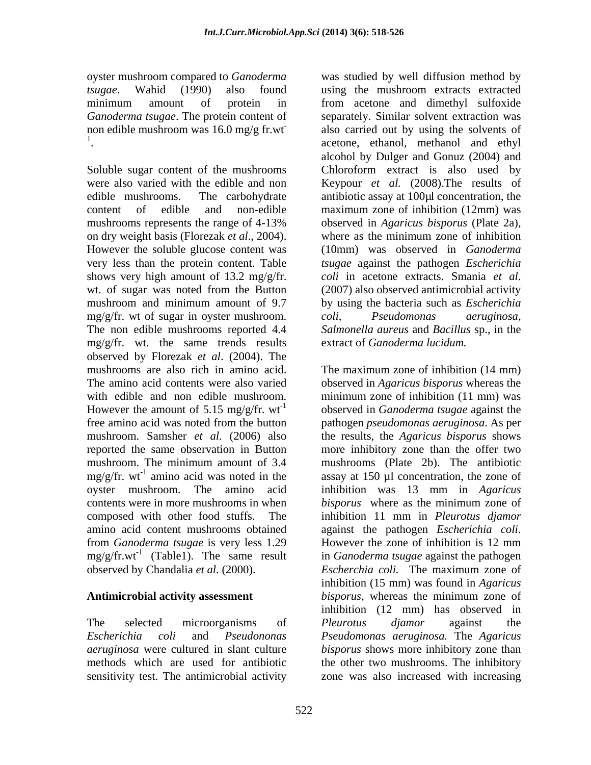were also varied with the edible and non Keypour *et al.* (2008). The results of edible mushrooms. The carbohydrate antibiotic assay at 100µl concentration, the content of edible and non-edible maximum zone of inhibition (12mm) was mushrooms represents the range of 4-13% observed in *Agaricus bisporus* (Plate 2a), on dry weight basis (Florezak *et al*., 2004). where as the minimum zone of inhibition However the soluble glucose content was very less than the protein content. Table *tsugae* against the pathogen *Escherichia* shows very high amount of 13.2 mg/g/fr. coli in acetone extracts. Smania et al. wt. of sugar was noted from the Button (2007) also observed antimicrobial activity mushroom and minimum amount of 9.7 by using the bacteria such as *Escherichia*  mg/g/fr. wt of sugar in oyster mushroom. coli, Pseudomonas aeruginosa, The non edible mushrooms reported 4.4 *Salmonella aureus* and *Bacillus* sp., in the mg/g/fr. wt. the same trends results observed by Florezak *et al*. (2004). The mushrooms are also rich in amino acid. The maximum zone of inhibition (14 mm) reported the same observation in Button  $mg/g/fr$ . wt<sup>-1</sup> amino acid was noted in the contents were in more mushrooms in when *bisporus* where as the minimum zone of  $mg/g/fr.wt^{-1}$  (Table1). The same result observed by Chandalia *et al*. (2000).

oyster mushroom compared to *Ganoderma* was studied by well diffusion method by *tsugae*. Wahid (1990) also found using the mushroom extracts extracted minimum amount of protein in from acetone and dimethyl sulfoxide *Ganoderma tsugae*. The protein content of separately. Similar solvent extraction was non edible mushroom was  $16.0 \text{ mg/g fr.wt}$  also carried out by using the solvents of <sup>1</sup>. acetone, ethanol, methanol and ethyl<br>alcohol by Dulger and Gonuz (2004) and<br>Soluble sugar content of the mushrooms Chloroform extract is also used by also carried out by using the solvents of acetone, ethanol, methanol and ethyl alcohol by Dulger and Gonuz (2004) and Chloroform extract is also used by (10mm) was observed in *Ganoderma coli* in acetone extracts. Smania *et al*. (2007) also observed antimicrobial activity *coli*, *Pseudomonas aeruginosa,* extract of *Ganoderma lucidum.* 

The amino acid contents were also varied observed in *Agaricus bisporus* whereas the with edible and non edible mushroom. minimum zone of inhibition (11 mm) was However the amount of 5.15 mg/g/fr. wt<sup>-1</sup> observed in *Ganoderma tsugae* against the free amino acid was noted from the button pathogen *pseudomonas aeruginosa*. As per mushroom. Samsher *et al*. (2006) also the results, the *Agaricus bisporus* shows mushroom. The minimum amount of 3.4 mushrooms (Plate 2b). The antibiotic amino acid was noted in the assay at 150 µl concentration, the zone of oyster mushroom. The amino acid inhibition was 13 mm in *Agaricus* composed with other food stuffs. The inhibition 11 mm in *Pleurotus djamor*  amino acid content mushrooms obtained against the pathogen *Escherichia coli*. from *Ganoderma tsugae* is very less 1.29 However the zone ofinhibition is 12 mm (Table1). The same result in *Ganoderma tsugae* against the pathogen **Antimicrobial activity assessment** *bisporus*, whereas the minimum zone of The selected microorganisms of *Pleurotus djamor* against the *Escherichia coli* and *Pseudononas Pseudomonas aeruginosa.* The *Agaricus aeruginosa* were cultured in slant culture *bisporus* shows more inhibitory zone than methods which are used for antibiotic the other two mushrooms. The inhibitory sensitivity test. The antimicrobial activity zone was also increased with increasingThe maximum zone of inhibition (14 mm) more inhibitory zone than the offer two *bisporus* where as the minimum zone of *Escherchia coli.* The maximum zone of inhibition (15 mm) was found in *Agaricus* inhibition (12 mm) has observed in *Pleurotus djamor* against the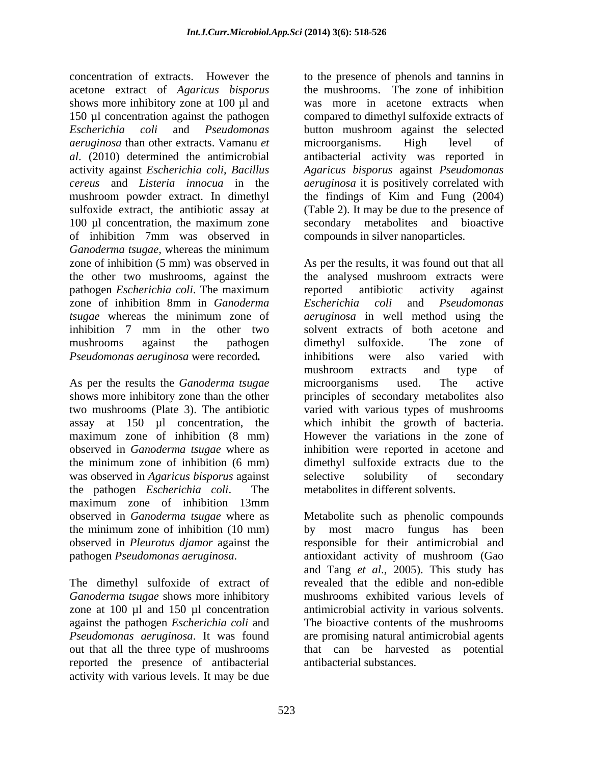concentration of extracts. However the to the presence of phenols and tannins in acetone extract of *Agaricus bisporus* shows more inhibitory zone at 100 µl and 150 µl concentration against the pathogen compared to dimethyl sulfoxide extracts of *Escherichia coli* and *Pseudomonas* button mushroom against the selected *aeruginosa* than other extracts. Vamanu *et al*. (2010) determined the antimicrobial antibacterial activity was reported in activity against *Escherichia coli*, *Bacillus Agaricus bisporus* against *Pseudomonas cereus* and *Listeria innocua* in the *aeruginosa* it is positively correlated with mushroom powder extract. In dimethyl the findings of Kim and Fung (2004) sulfoxide extract, the antibiotic assay at (Table 2). It may be due to the presence of 100 µl concentration, the maximum zone secondary metabolites and bioactive of inhibition 7mm was observed in *Ganoderma tsugae,* whereas the minimum zone of inhibition (5 mm) was observed in As per the results, it was found out that all the other two mushrooms, against the the analysed mushroom extracts were pathogen *Escherichia coli*. The maximum zone of inhibition 8mm in *Ganoderma tsugae* whereas the minimum zone of *aeruginosa* in well method using the inhibition 7 mm in the other two solvent extracts of both acetone and mushrooms against the pathogen dimethyl sulfoxide. The zone of

was observed in *Agaricus bisporus* against selective solubility of secondary the pathogen *Escherichia coli*. The maximum zone of inhibition 13mm observed in *Ganoderma tsugae*where as Metabolite such as phenolic compounds the minimum zone of inhibition (10 mm) by most macro fungus has been observed in *Pleurotus djamor* against the responsible for their antimicrobial and

zone at 100 µl and 150 µl concentration against the pathogen *Escherichia coli* and reported the presence of antibacterial activity with various levels. It may be due

the mushrooms. The zone of inhibition was more in acetone extracts when microorganisms. High level of compounds in silver nanoparticles.

*Pseudomonas aeruginosa* were recorded. inhibitions were also varied with<br>As per the results the *Ganoderma tsugae* inicroorganisms used. The active shows more inhibitory zone than the other principles of secondary metabolites also two mushrooms (Plate 3). The antibiotic varied with various types of mushrooms assay at 150 µl concentration, the which inhibit the growth of bacteria. maximum zone of inhibition (8 mm) However the variations in the zone of observed in *Ganoderma tsugae*where as inhibition were reported in acetone and the minimum zone of inhibition (6 mm) dimethyl sulfoxide extracts due to the reported antibiotic activity against *Escherichia coli* and *Pseudomonas aeruginosa* in well method using the dimethyl sulfoxide. The zone of inhibitions were also varied with mushroom extracts and type of microorganisms used. The active selective solubility of secondary metabolites in different solvents.

pathogen *Pseudomonas aeruginosa*. antioxidant activity of mushroom (Gao<br>and Tang *et al.*, 2005). This study has<br>The dimethyl sulfoxide of extract of revealed that the edible and non-edible *Ganoderma tsugae* shows more inhibitory mushrooms exhibited various levels of *Pseudomonas aeruginosa*. It was found are promising natural antimicrobial agents out that all the three type of mushrooms that can be harvested as potential antioxidant activity of mushroom (Gao and Tang *et al*., 2005). This study has revealed that the edible and non-edible antimicrobial activity in various solvents. The bioactive contents of the mushrooms antibacterial substances.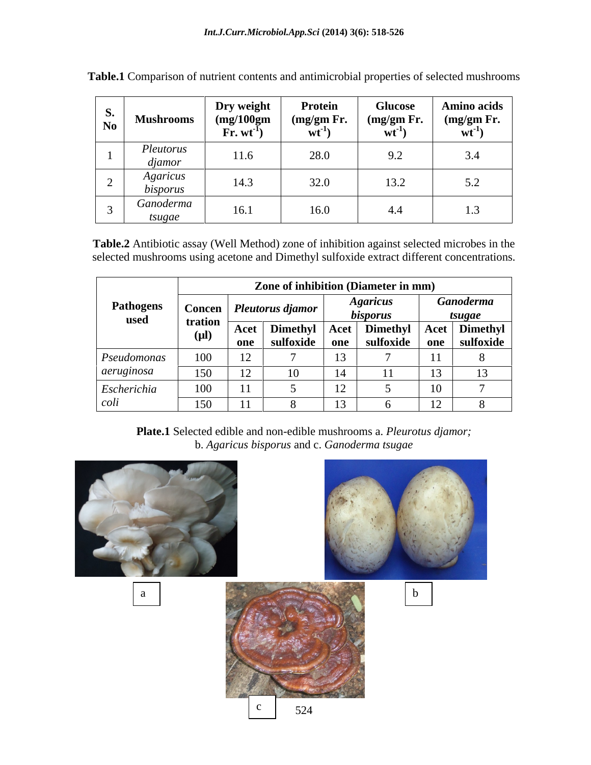| S.<br>No                 | <b>Mushrooms</b>                   | Dry weight<br>(mg/100gm)<br>$\mathbf{F}$ r. wt $^{-1}$ | <b>Protein</b><br>(mg/gm Fr.<br>$wt^-$ | <b>Glucose</b><br>(mg/gm Fr.<br>$Wt^{-1}$ | <b>Amino acids</b><br>(mg/gm Fr.<br>$wt^{-1}$ |
|--------------------------|------------------------------------|--------------------------------------------------------|----------------------------------------|-------------------------------------------|-----------------------------------------------|
|                          | Pleutorus<br>djamor                | 11.6                                                   | 28.0                                   | 9.2                                       | 3.4                                           |
| $\overline{\phantom{0}}$ | <i><b>Agaricus</b></i><br>bisporus | 14.3                                                   | 32.0                                   | 13.2                                      | 5.2                                           |
|                          | Ganoderma<br>tsugae                | 16.1                                                   | 16.0                                   | 4.4                                       | ن. 1                                          |

| <b>Table.1</b> Comparison of nutrient contents and antimicrobial properties of selected mushrooms |  |  |
|---------------------------------------------------------------------------------------------------|--|--|
|                                                                                                   |  |  |

**Table.2** Antibiotic assay (Well Method) zone of inhibition against selected microbes in the selected mushrooms using acetone and Dimethyl sulfoxide extract different concentrations.

|                          |                      | Zone of inhibition (Diameter in mm) |                              |             |                                           |             |                              |  |
|--------------------------|----------------------|-------------------------------------|------------------------------|-------------|-------------------------------------------|-------------|------------------------------|--|
| <b>Pathogens</b><br>used |                      |                                     | Concen   Pleutorus djamor    |             | <i><b>Agaricus</b></i><br><i>bisporus</i> |             | Ganoderma<br>tsugae          |  |
|                          | tration<br>$(\mu l)$ | Acet  <br>one                       | <b>Dimethyl</b><br>sulfoxide | Acet<br>one | Dimethyl<br>sulfoxide                     | Acet<br>one | <b>Dimethyl</b><br>sulfoxide |  |
| Pseudomonas              | 100                  |                                     |                              |             |                                           |             |                              |  |
| <i>aeruginosa</i>        | 150                  | $\sim$                              |                              |             |                                           | . .         |                              |  |
| Escherichia              | 100                  | $1 - 1$                             |                              | ▴∠          |                                           | 10          |                              |  |
| coli                     | 150                  |                                     |                              |             |                                           | . .         |                              |  |

**Plate.1** Selected edible and non-edible mushrooms a. *Pleurotus djamor;*  b. *Agaricus bisporus* and c. *Ganoderma tsugae*

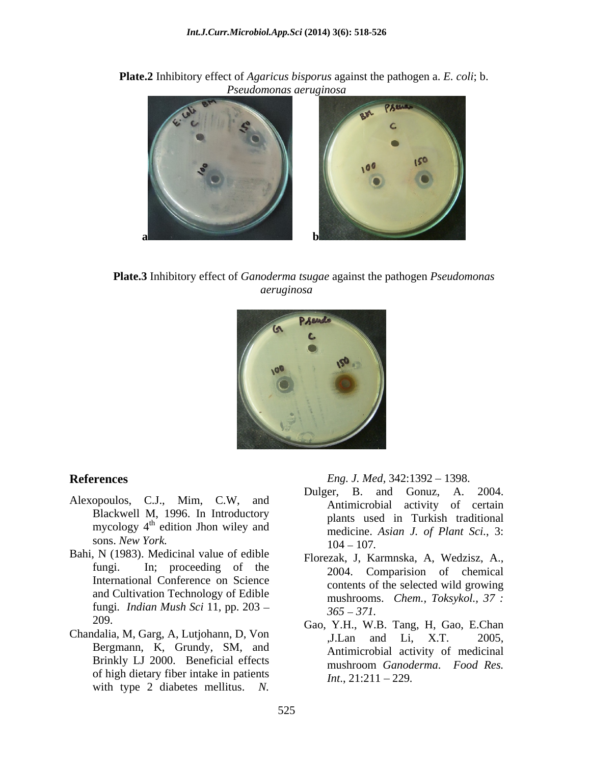**Plate.2** Inhibitory effect of *Agaricus bisporus* against the pathogen a. *E. coli*; b. *Pseudomonas aeruginosa*



**Plate.3** Inhibitory effect of *Ganoderma tsugae* against the pathogen *Pseudomonas aeruginosa*



- Blackwell M, 1996. In Introductory sons. *New York*. 104 – 107.
- Bahi, N (1983). Medicinal value of edible International Conference on Science and Cultivation Technology of Edible fungi*. Indian Mush Sci* 11, pp. 203
- Chandalia, M, Garg, A, Lutjohann, D, Von Bergmann, K, Grundy, SM, and Brinkly LJ 2000. Beneficial effects of high dietary fiber intake in patients with type 2 diabetes mellitus. *N.*

**References** *Eng. J. Med,* 342:1392 – 1398.

- Alexopoulos, C.J., Mim, C.W, and Dulger, B. and Gonuz, A. 2004. mycology  $4^{\text{th}}$  edition Jhon wiley and the medicine Asian I of Plant Sci 3. edition Jhon wiley and<br>
medicine. *Asian J. of Plant Sci.*, 3: Dulger, B. and Gonuz, A. Antimicrobial activity of certain plants used in Turkish traditional 104 107*.*
	- fungi. In; proceeding of the 2004. Comparision of chemical Florezak, J, Karmnska, A, Wedzisz, A., contents of the selected wild growing mushrooms. *Chem., Toksykol., 37 : 365 371.*
	- 209. Gao, Y.H., W.B. Tang, H, Gao, E.Chan ,J.Lan and Li, X.T. 2005, Antimicrobial activity of medicinal mushroom *Ganoderma*. *Food Res. Int.*, 21:211 – 229*.*